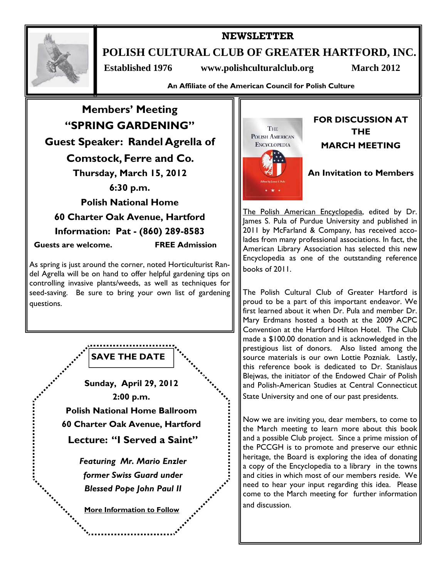

# **NEWSLETTER POLISH CULTURAL CLUB OF GREATER HARTFORD, INC.**

 **Established 1976 www.polishculturalclub.org March 2012** 

**An Affiliate of the American Council for Polish Culture** 





# **FOR DISCUSSION AT THE MARCH MEETING**

# **An Invitation to Members**

The Polish American Encyclopedia, edited by Dr. James S. Pula of Purdue University and published in 2011 by McFarland & Company, has received accolades from many professional associations. In fact, the American Library Association has selected this new Encyclopedia as one of the outstanding reference books of 2011.

The Polish Cultural Club of Greater Hartford is proud to be a part of this important endeavor. We first learned about it when Dr. Pula and member Dr. Mary Erdmans hosted a booth at the 2009 ACPC Convention at the Hartford Hilton Hotel. The Club made a \$100.00 donation and is acknowledged in the prestigious list of donors. Also listed among the source materials is our own Lottie Pozniak. Lastly, this reference book is dedicated to Dr. Stanislaus Blejwas, the initiator of the Endowed Chair of Polish and Polish-American Studies at Central Connecticut State University and one of our past presidents.

Now we are inviting you, dear members, to come to the March meeting to learn more about this book and a possible Club project. Since a prime mission of the PCCGH is to promote and preserve our ethnic heritage, the Board is exploring the idea of donating a copy of the Encyclopedia to a library in the towns and cities in which most of our members reside. We need to hear your input regarding this idea. Please come to the March meeting for further information and discussion.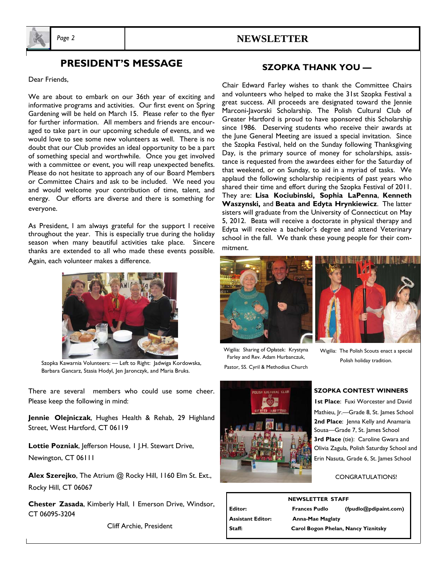

# *Page 2* **NEWSLETTER**

# **PRESIDENT'S MESSAGE**

Dear Friends,

We are about to embark on our 36th year of exciting and informative programs and activities. Our first event on Spring Gardening will be held on March 15. Please refer to the flyer for further information. All members and friends are encouraged to take part in our upcoming schedule of events, and we would love to see some new volunteers as well. There is no doubt that our Club provides an ideal opportunity to be a part of something special and worthwhile. Once you get involved with a committee or event, you will reap unexpected benefits. Please do not hesitate to approach any of our Board Members or Committee Chairs and ask to be included. We need you and would welcome your contribution of time, talent, and energy. Our efforts are diverse and there is something for everyone.

As President, I am always grateful for the support I receive throughout the year. This is especially true during the holiday season when many beautiful activities take place. Sincere thanks are extended to all who made these events possible. Again, each volunteer makes a difference.



Szopka Kawarnia Volunteers: — Left to Right: Jadwiga Kordowska, Barbara Gancarz, Stasia Hodyl, Jen Jaronczyk, and Maria Bruks.

There are several members who could use some cheer. Please keep the following in mind:

**Jennie Olejniczak**, Hughes Health & Rehab, 29 Highland Street, West Hartford, CT 06119

**Lottie Pozniak**, Jefferson House, 1 J.H. Stewart Drive, Newington, CT 06111

**Alex Szerejko**, The Atrium @ Rocky Hill, 1160 Elm St. Ext., Rocky Hill, CT 06067

**Chester Zasada**, Kimberly Hall, 1 Emerson Drive, Windsor, CT 06095-3204

Cliff Archie, President

## **SZOPKA THANK YOU —**

Chair Edward Farley wishes to thank the Committee Chairs and volunteers who helped to make the 31st Szopka Festival a great success. All proceeds are designated toward the Jennie Marconi-Javorski Scholarship. The Polish Cultural Club of Greater Hartford is proud to have sponsored this Scholarship since 1986. Deserving students who receive their awards at the June General Meeting are issued a special invitation. Since the Szopka Festival, held on the Sunday following Thanksgiving Day, is the primary source of money for scholarships, assistance is requested from the awardees either for the Saturday of that weekend, or on Sunday, to aid in a myriad of tasks. We applaud the following scholarship recipients of past years who shared their time and effort during the Szopka Festival of 2011. They are: **Lisa Kociubinski, Sophia LaPenna**, **Kenneth Waszynski,** and **Beata and Edyta Hrynkiewicz**. The latter sisters will graduate from the University of Connecticut on May 5, 2012. Beata will receive a doctorate in physical therapy and Edyta will receive a bachelor's degree and attend Veterinary school in the fall. We thank these young people for their commitment.



Wigilia: Sharing of Opłatek: Krystyna Farley and Rev. Adam Hurbanczuk, Pastor, SS. Cyril & Methodius Church



Wigilia: The Polish Scouts enact a special Polish holiday tradition.



#### **SZOPKA CONTEST WINNERS**

**1st Place**: Fuxi Worcester and David Mathieu, Jr.—Grade 8, St. James School 2nd Place: Jenna Kelly and Anamaria Sousa—Grade 7, St. James School 3rd Place (tie): Caroline Gwara and Olivia Zagula, Polish Saturday School and Erin Nasuta, Grade 6, St. James School

CONGRATULATIONS!

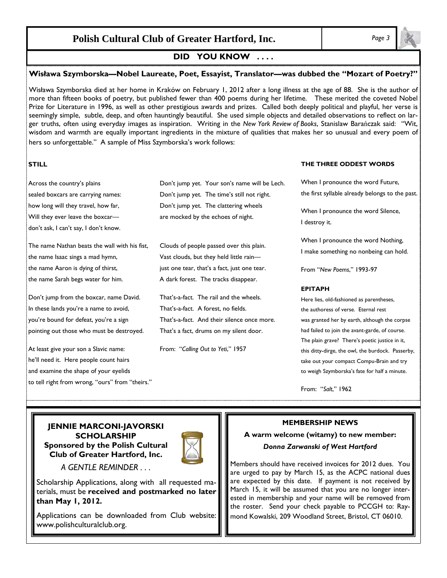# **Polish Cultural Club of Greater Hartford, Inc.** *Page 3*

## **DID YOU KNOW . . . .**

#### **Wisława Szymborska—Nobel Laureate, Poet, Essayist, Translator—was dubbed the "Mozart of Poetry?"**

Wisława Szymborska died at her home in Kraków on February 1, 2012 after a long illness at the age of 88. She is the author of more than fifteen books of poetry, but published fewer than 400 poems during her lifetime. These merited the coveted Nobel Prize for Literature in 1996, as well as other prestigious awards and prizes. Called both deeply political and playful, her verse is seemingly simple, subtle, deep, and often hauntingly beautiful. She used simple objects and detailed observations to reflect on larger truths, often using everyday images as inspiration. Writing in the *New York Review of Books*, Stanislaw Barańczak said: "Wit, wisdom and warmth are equally important ingredients in the mixture of qualities that makes her so unusual and every poem of hers so unforgettable." A sample of Miss Szymborska's work follows:

### **STILL**

| Across the country's plains           | Don't jump yet. Your son's name will be Lech. |
|---------------------------------------|-----------------------------------------------|
| sealed boxcars are carrying names:    | Don't jump yet. The time's still not right.   |
| how long will they travel, how far,   | Don't jump yet. The clattering wheels         |
| Will they ever leave the boxcar-      | are mocked by the echoes of night.            |
| don't ask, I can't say, I don't know. |                                               |

The name Nathan beats the wall with his fist, Clouds of people passed over this plain. the name Isaac sings a mad hymn, Vast clouds, but they held little rainthe name Aaron is dying of thirst, just one tear, that's a fact, just one tear. the name Sarah begs water for him. A dark forest. The tracks disappear.

Don't jump from the boxcar, name David. That's-a-fact. The rail and the wheels. In these lands you're a name to avoid, That's-a-fact. A forest, no fields. you're bound for defeat, you're a sign That's-a-fact. And their silence once more. pointing out those who must be destroyed. That's a fact, drums on my silent door.

At least give your son a Slavic name: From: "*Calling Out to Yeti*," 1957 he'll need it. Here people count hairs and examine the shape of your eyelids to tell right from wrong, "ours" from "theirs."

#### **THE THREE ODDEST WORDS**

When I pronounce the word Future, the first syllable already belongs to the past.

When I pronounce the word Silence, I destroy it.

When I pronounce the word Nothing, I make something no nonbeing can hold.

From "*New Poems*," 1993-97

#### **EPITAPH**

Here lies, old-fashioned as parentheses, the authoress of verse. Eternal rest was granted her by earth, although the corpse had failed to join the avant-garde, of course. The plain grave? There's poetic justice in it, this ditty-dirge, the owl, the burdock. Passerby, take out your compact Compu-Brain and try to weigh Szymborska's fate for half a minute.

From: "*Salt*," 1962

#### **JENNIE MARCONI-JAVORSKI SCHOLARSHIP Sponsored by the Polish Cultural Club of Greater Hartford, Inc.**



*A GENTLE REMINDER . . .* 

Scholarship Applications, along with all requested materials, must be **received and postmarked no later than May 1, 2012.**

Applications can be downloaded from Club website: www.polishculturalclub.org.

#### **MEMBERSHIP NEWS**

### **A warm welcome (witamy) to new member:** *Donna Zarwanski of West Hartford*

Members should have received invoices for 2012 dues. You are urged to pay by March 15, as the ACPC national dues are expected by this date. If payment is not received by March 15, it will be assumed that you are no longer interested in membership and your name will be removed from the roster. Send your check payable to PCCGH to: Raymond Kowalski, 209 Woodland Street, Bristol, CT 06010.